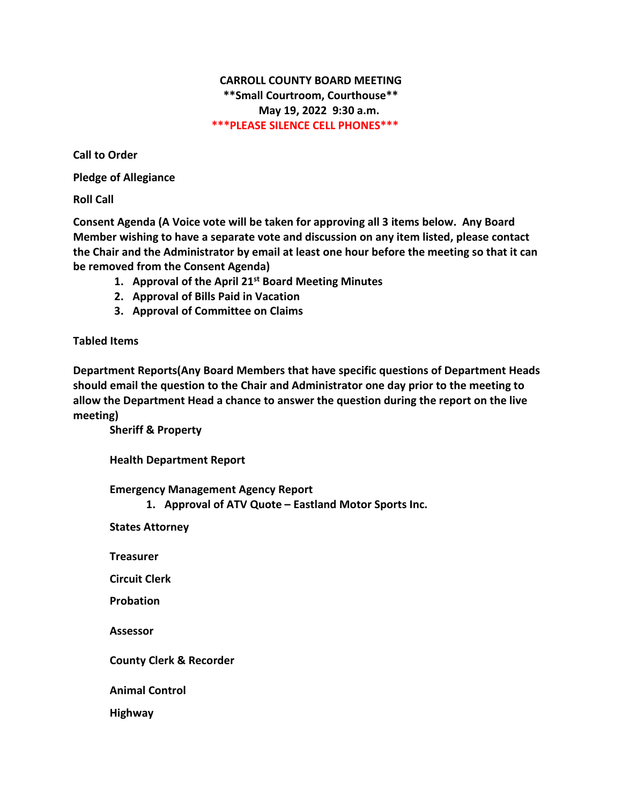# **CARROLL COUNTY BOARD MEETING \*\*Small Courtroom, Courthouse\*\* May 19, 2022 9:30 a.m. \*\*\*PLEASE SILENCE CELL PHONES\*\*\***

**Call to Order**

**Pledge of Allegiance**

**Roll Call**

**Consent Agenda (A Voice vote will be taken for approving all 3 items below. Any Board Member wishing to have a separate vote and discussion on any item listed, please contact the Chair and the Administrator by email at least one hour before the meeting so that it can be removed from the Consent Agenda)**

- **1. Approval of the April 21st Board Meeting Minutes**
- **2. Approval of Bills Paid in Vacation**
- **3. Approval of Committee on Claims**

### **Tabled Items**

**Department Reports(Any Board Members that have specific questions of Department Heads should email the question to the Chair and Administrator one day prior to the meeting to allow the Department Head a chance to answer the question during the report on the live meeting)**

**Sheriff & Property**

**Health Department Report**

**Emergency Management Agency Report**

**1. Approval of ATV Quote – Eastland Motor Sports Inc.**

**States Attorney**

**Treasurer**

**Circuit Clerk**

**Probation**

**Assessor**

**County Clerk & Recorder**

**Animal Control**

**Highway**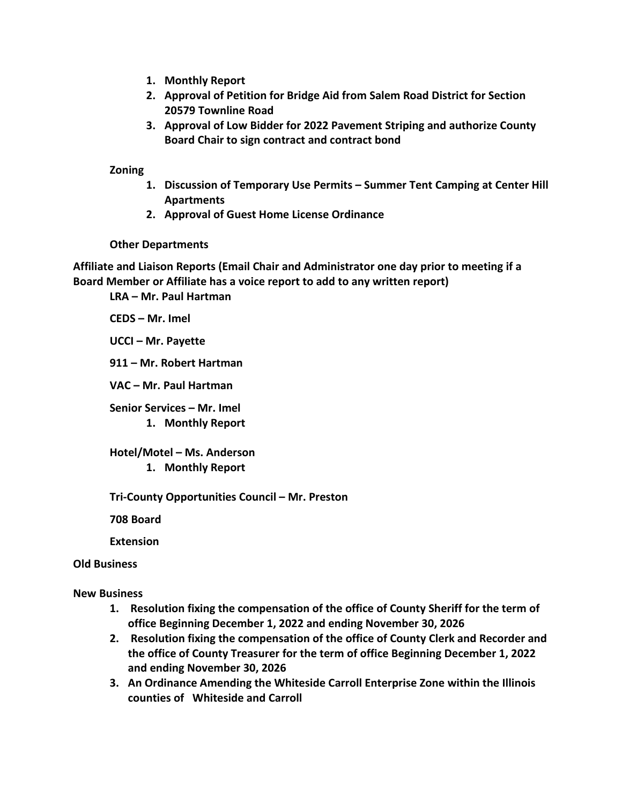- **1. Monthly Report**
- **2. Approval of Petition for Bridge Aid from Salem Road District for Section 20579 Townline Road**
- **3. Approval of Low Bidder for 2022 Pavement Striping and authorize County Board Chair to sign contract and contract bond**

#### **Zoning**

- **1. Discussion of Temporary Use Permits – Summer Tent Camping at Center Hill Apartments**
- **2. Approval of Guest Home License Ordinance**

### **Other Departments**

**Affiliate and Liaison Reports (Email Chair and Administrator one day prior to meeting if a Board Member or Affiliate has a voice report to add to any written report)**

**LRA – Mr. Paul Hartman**

**CEDS – Mr. Imel**

**UCCI – Mr. Payette**

**911 – Mr. Robert Hartman**

**VAC – Mr. Paul Hartman**

**Senior Services – Mr. Imel 1. Monthly Report**

**Hotel/Motel – Ms. Anderson 1. Monthly Report**

**Tri-County Opportunities Council – Mr. Preston**

**708 Board**

**Extension**

## **Old Business**

### **New Business**

- **1. Resolution fixing the compensation of the office of County Sheriff for the term of office Beginning December 1, 2022 and ending November 30, 2026**
- **2. Resolution fixing the compensation of the office of County Clerk and Recorder and the office of County Treasurer for the term of office Beginning December 1, 2022 and ending November 30, 2026**
- **3. An Ordinance Amending the Whiteside Carroll Enterprise Zone within the Illinois counties of Whiteside and Carroll**